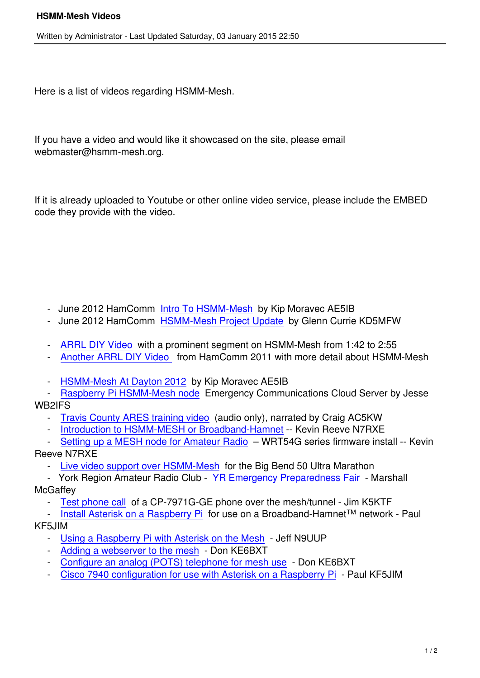Here is a list of videos regarding HSMM-Mesh.

If you have a video and would like it showcased on the site, please email webmaster@hsmm-mesh.org.

If it is already uploaded to Youtube or other online video service, please include the EMBED code they provide with the video.

- June 2012 HamComm Intro To HSMM-Mesh by Kip Moravec AE5IB
- June 2012 HamComm HSMM-Mesh Project Update by Glenn Currie KD5MFW
- ARRL DIY Video with [a prominent segment o](documentation/133-ae5ib-intro-to-hsmm-mesh-2012-hamcomm.html)n HSMM-Mesh from 1:42 to 2:55
- Another ARRL DIY Vid[eo from HamComm 2011 wi](documentation/135-kd5mfw-2012-hamcomm-hsmm-mesh-project-update.html)th more detail about HSMM-Mesh
- [HSMM-Mesh At D](documentation/137-arrl-diy-video.html)ayton 2012 by Kip Moravec AE5IB
- [Raspberry Pi HSMM-Mesh](documentation/146-hsmm-mesh-details-at-hamcomm-2011.html) node Emergency Communications Cloud Server by Jesse WB2IFS
	- [Travis County ARES training](documentation/138-ae5ib-at-dayton-2012.html) video (audio only), narrated by Craig AC5KW
	- [Introduction to HSMM-MESH or B](documentation/153-piemcommserver)roadband-Hamnet -- Kevin Reeve N7RXE
- Setting up a MESH node for Amateur Radio WRT54G series firmware install -- Kevin Reev[e N7RXE](documentation/154-tc-ares-training-video-all-audio)
	- [Live video support over HSMM-Mesh for the Big Ben](documentation/156-introduction-to-hsmm-mesh-or-broadband-hamnet)d 50 Ultra Marathon
- [York Region Amateur Radio Club YR Eme](documentation/155-introduction-to-setting-up-a-mesh-node-for-amateur-radio--wrt54g-series-firmware-install)rgency Preparedness Fair Marshall **McGaffey** 
	- [Test phone call of a CP-7971G-GE p](documentation/157-2013-big-bend-50-support)hone over the mesh/tunnel Jim K5KTF
- Install Asterisk on a Raspberry Pi f[or use on a Broadband-Hamnet](documentation/159-york-region-amateur-radio-club-yr-emergency-preparedness-fair-)™ network Paul KF5JIM
	- [Using a Raspbe](documentation/160-cisco-cp-7971g-ge-over-broadband-hamnet)rry Pi with Asterisk on the Mesh Jeff N9UUP
	- [Adding a webserver to the mesh](documentation/170-asterisk-rpi-bbhn)  Don KE6BXT
	- Configure an analog (POTS) telephone for mesh use Don KE6BXT
	- [Cisco 7940 configuration for use with Asterisk on](documentation/174-raspberry-pi-with-asterisk-on-the-mesh-jeff-n9uup) a Raspberry Pi Paul KF5JIM